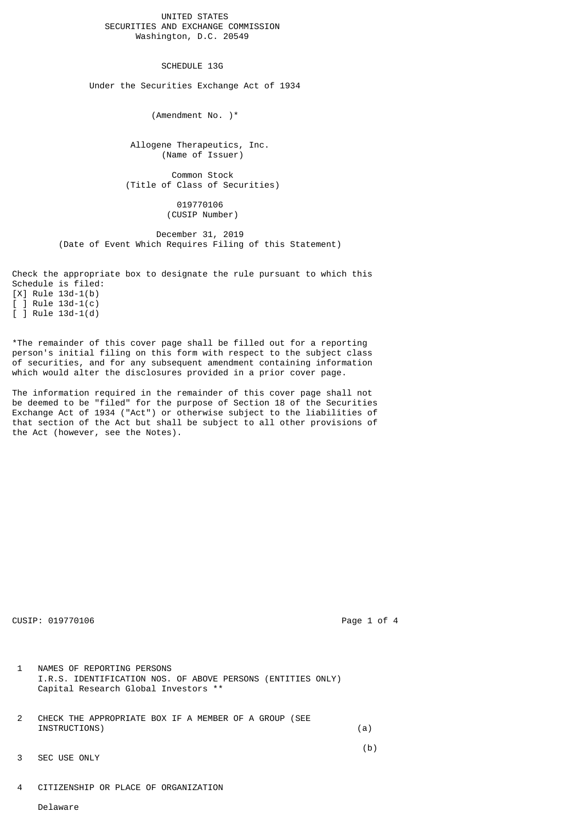## UNITED STATES SECURITIES AND EXCHANGE COMMISSION Washington, D.C. 20549

SCHEDULE 13G

Under the Securities Exchange Act of 1934

(Amendment No. )\*

 Allogene Therapeutics, Inc. (Name of Issuer)

 Common Stock (Title of Class of Securities)

> 019770106 (CUSIP Number)

 December 31, 2019 (Date of Event Which Requires Filing of this Statement)

Check the appropriate box to designate the rule pursuant to which this Schedule is filed:

[X] Rule 13d-1(b) [ ] Rule 13d-1(c)  $[$   $]$  Rule 13d-1(d)

\*The remainder of this cover page shall be filled out for a reporting person's initial filing on this form with respect to the subject class of securities, and for any subsequent amendment containing information which would alter the disclosures provided in a prior cover page.

The information required in the remainder of this cover page shall not be deemed to be "filed" for the purpose of Section 18 of the Securities Exchange Act of 1934 ("Act") or otherwise subject to the liabilities of that section of the Act but shall be subject to all other provisions of the Act (however, see the Notes).

CUSIP: 019770106 **Page 1 of 4** 

- 1 NAMES OF REPORTING PERSONS I.R.S. IDENTIFICATION NOS. OF ABOVE PERSONS (ENTITIES ONLY) Capital Research Global Investors \*\*
- 2 CHECK THE APPROPRIATE BOX IF A MEMBER OF A GROUP (SEE INSTRUCTIONS) (a)

(b)

- 3 SEC USE ONLY
- 4 CITIZENSHIP OR PLACE OF ORGANIZATION

Delaware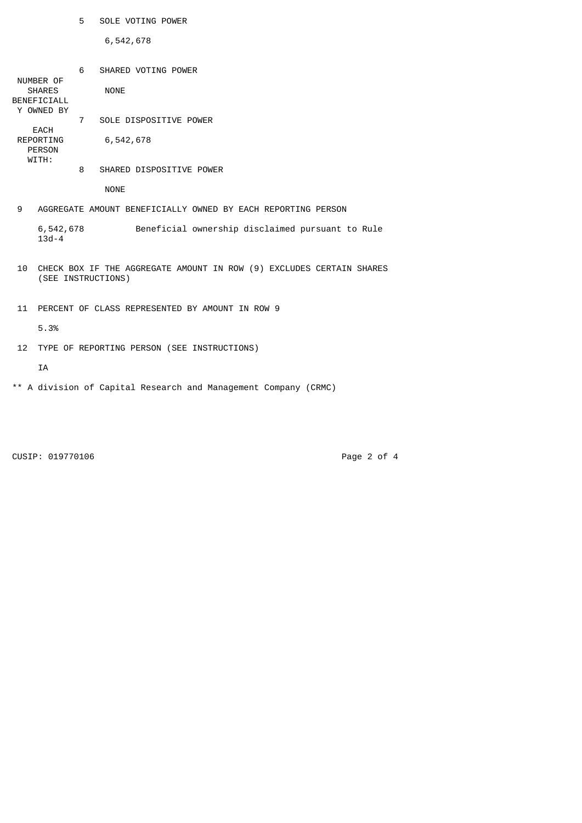5 SOLE VOTING POWER

6,542,678

|    | NUMBER OF<br><b>SHARES</b><br>BENEFICIALL<br>Y OWNED BY<br>EACH<br>REPORTING<br><b>PERSON</b><br>WITH: | SHARED VOTING POWER<br>6.<br><b>NONE</b><br>7 SOLE DISPOSITIVE POWER<br>6,542,678<br>8<br>SHARED DISPOSITIVE POWER |  |
|----|--------------------------------------------------------------------------------------------------------|--------------------------------------------------------------------------------------------------------------------|--|
|    |                                                                                                        |                                                                                                                    |  |
|    |                                                                                                        | <b>NONE</b>                                                                                                        |  |
| 9  |                                                                                                        | AGGREGATE AMOUNT BENEFICIALLY OWNED BY EACH REPORTING PERSON                                                       |  |
|    | $13d - 4$                                                                                              | Beneficial ownership disclaimed pursuant to Rule<br>6,542,678                                                      |  |
| 10 | CHECK BOX IF THE AGGREGATE AMOUNT IN ROW (9) EXCLUDES CERTAIN SHARES<br>(SEE INSTRUCTIONS)             |                                                                                                                    |  |
| 11 | PERCENT OF CLASS REPRESENTED BY AMOUNT IN ROW 9                                                        |                                                                                                                    |  |
|    | 5.3%                                                                                                   |                                                                                                                    |  |
| 12 |                                                                                                        | TYPE OF REPORTING PERSON (SEE INSTRUCTIONS)                                                                        |  |
|    | <b>IA</b>                                                                                              |                                                                                                                    |  |

\*\* A division of Capital Research and Management Company (CRMC)

CUSIP: 019770106 **Page 2 of 4**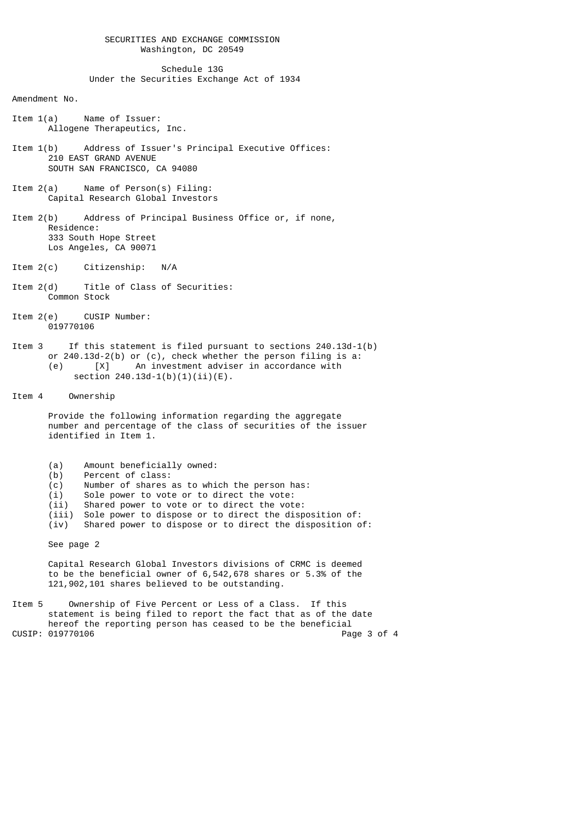## SECURITIES AND EXCHANGE COMMISSION Washington, DC 20549

# Schedule 13G Under the Securities Exchange Act of 1934

#### Amendment No.

- Item 1(a) Name of Issuer: Allogene Therapeutics, Inc.
- Item 1(b) Address of Issuer's Principal Executive Offices: 210 EAST GRAND AVENUE SOUTH SAN FRANCISCO, CA 94080
- Item 2(a) Name of Person(s) Filing: Capital Research Global Investors
- Item 2(b) Address of Principal Business Office or, if none, Residence: 333 South Hope Street Los Angeles, CA 90071
- Item 2(c) Citizenship: N/A
- Item 2(d) Title of Class of Securities: Common Stock
- Item 2(e) CUSIP Number: 019770106
- Item 3 If this statement is filed pursuant to sections 240.13d-1(b) or 240.13d-2(b) or (c), check whether the person filing is a:  $(e)$   $[X]$  An investment adviser in accordance with section  $240.13d-1(b)(1)(ii)(E)$ .

Item 4 Ownership

 Provide the following information regarding the aggregate number and percentage of the class of securities of the issuer identified in Item 1.

- (a) Amount beneficially owned:<br>(b) Percent of class:
- 
- (b) Percent of class:<br>(c) Number of shares (c) Number of shares as to which the person has:<br>(i) Sole power to vote or to direct the vote:
- (i) Sole power to vote or to direct the vote:<br>(ii) Shared power to vote or to direct the vote
- Shared power to vote or to direct the vote:
- $(iii)$  Sole power to dispose or to direct the disposition of:<br> $(iv)$  Shared power to dispose or to direct the disposition of
- Shared power to dispose or to direct the disposition of:

See page 2

 Capital Research Global Investors divisions of CRMC is deemed to be the beneficial owner of 6,542,678 shares or 5.3% of the 121,902,101 shares believed to be outstanding.

Item 5 Ownership of Five Percent or Less of a Class. If this statement is being filed to report the fact that as of the date hereof the reporting person has ceased to be the beneficial CUSIP: 019770106 **Page 3 of 4**